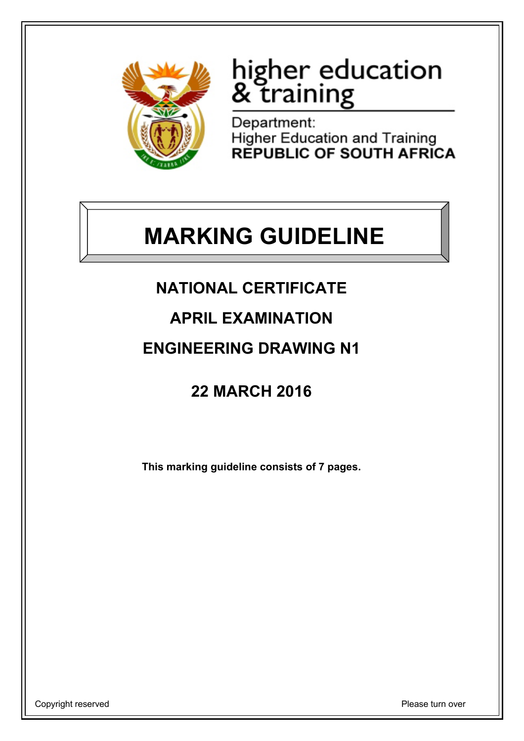

# higher education<br>& training

Department: **Higher Education and Training REPUBLIC OF SOUTH AFRICA** 

## **MARKING GUIDELINE**

## **NATIONAL CERTIFICATE**

**APRIL EXAMINATION**

### **ENGINEERING DRAWING N1**

## **22 MARCH 2016**

**This marking guideline consists of 7 pages.**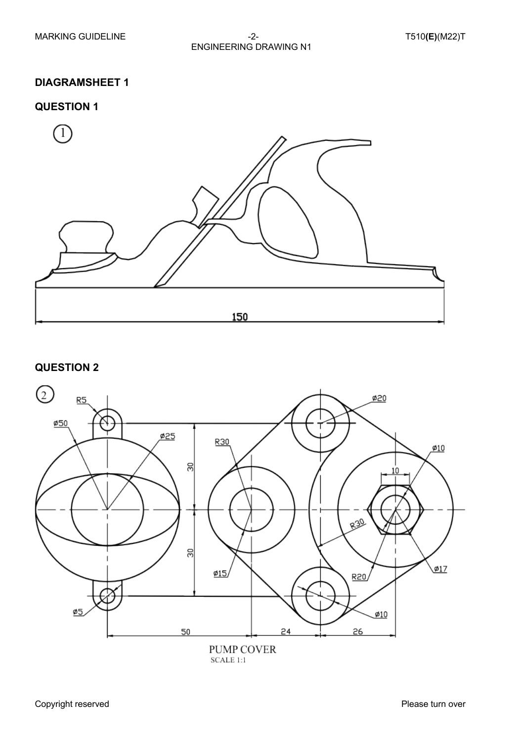#### **DIAGRAMSHEET 1**

#### **QUESTION 1**



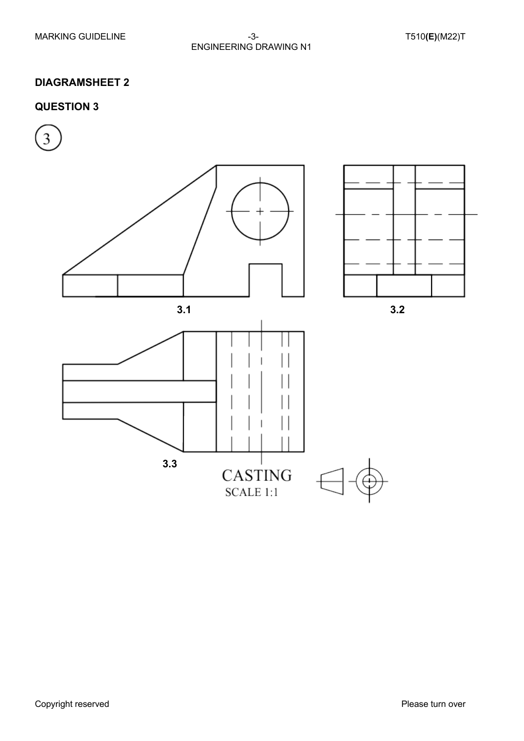#### MARKING GUIDELINE  $-3 -3-$  T510**(E)**(M22)T ENGINEERING DRAWING N1

#### **DIAGRAMSHEET 2**

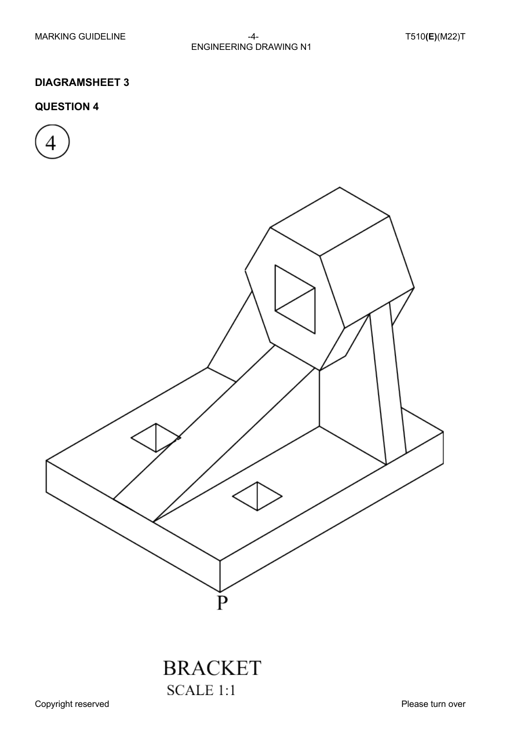#### MARKING GUIDELINE  $-4-$  T510**(E)**(M22)T ENGINEERING DRAWING N1

#### **DIAGRAMSHEET 3**

#### **QUESTION 4**





## **BRACKET SCALE 1:1**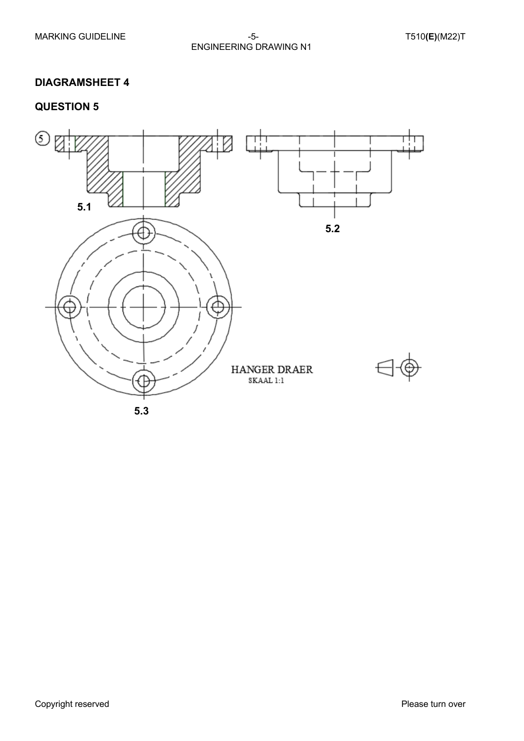#### MARKING GUIDELINE -5- T510**(E)**(M22)T ENGINEERING DRAWING N1

#### **DIAGRAMSHEET 4**

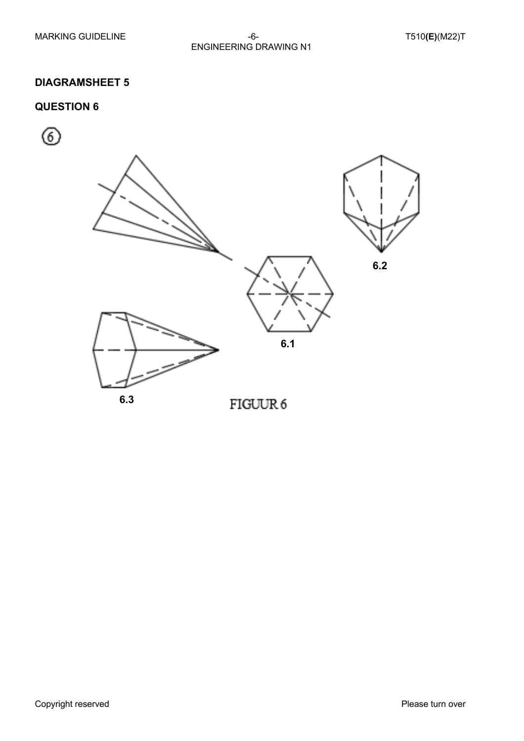#### MARKING GUIDELINE  $-6-$  T510**(E)**(M22)T ENGINEERING DRAWING N1

#### **DIAGRAMSHEET 5**